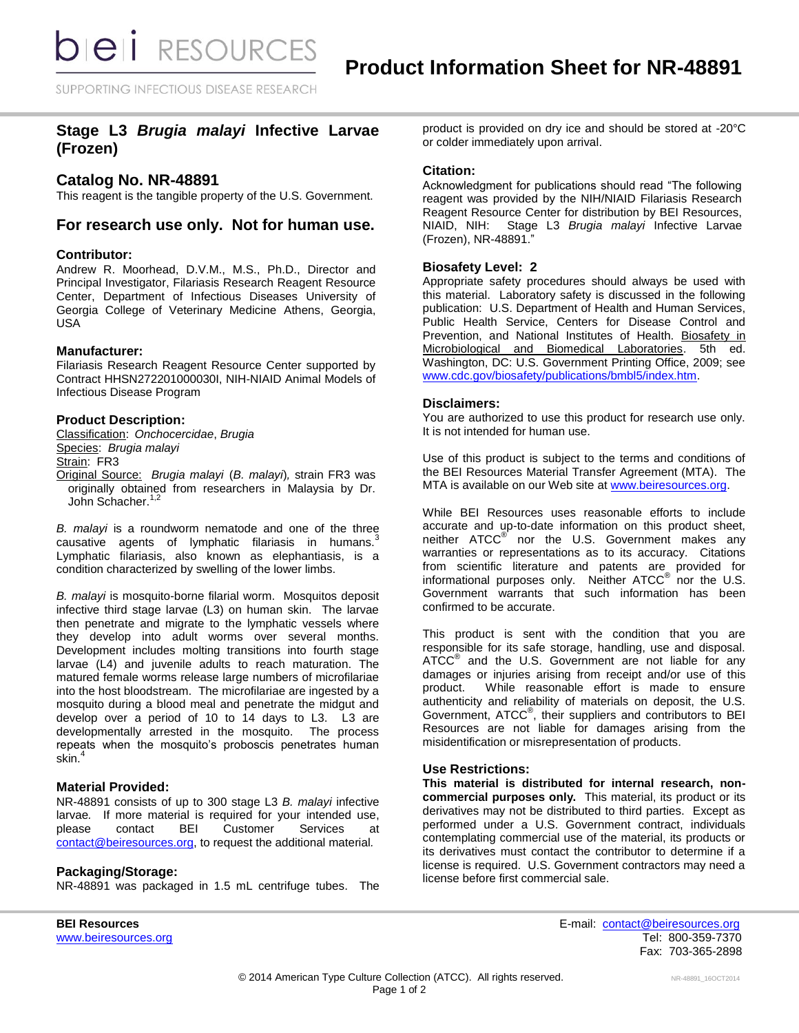SUPPORTING INFECTIOUS DISEASE RESEARCH

# **Stage L3** *Brugia malayi* **Infective Larvae (Frozen)**

## **Catalog No. NR-48891**

This reagent is the tangible property of the U.S. Government.

## **For research use only. Not for human use.**

#### **Contributor:**

Andrew R. Moorhead, D.V.M., M.S., Ph.D., Director and Principal Investigator, Filariasis Research Reagent Resource Center, Department of Infectious Diseases University of Georgia College of Veterinary Medicine Athens, Georgia, USA

#### **Manufacturer:**

Filariasis Research Reagent Resource Center supported by Contract HHSN272201000030I, NIH-NIAID Animal Models of Infectious Disease Program

#### **Product Description:**

Classification: *Onchocercidae*, *Brugia* Species: *Brugia malayi*

Strain: FR3

Original Source: *Brugia malayi* (*B. malayi*)*,* strain FR3 was originally obtained from researchers in Malaysia by Dr. John Schacher.<sup>1,2</sup>

*B. malayi* is a roundworm nematode and one of the three causative agents of lymphatic filariasis in humans. $3$ Lymphatic filariasis, also known as elephantiasis, is a condition characterized by swelling of the lower limbs.

*B. malayi* is mosquito-borne filarial worm. Mosquitos deposit infective third stage larvae (L3) on human skin. The larvae then penetrate and migrate to the lymphatic vessels where they develop into adult worms over several months. Development includes molting transitions into fourth stage larvae (L4) and juvenile adults to reach maturation. The matured female worms release large numbers of microfilariae into the host bloodstream. The microfilariae are ingested by a mosquito during a blood meal and penetrate the midgut and develop over a period of 10 to 14 days to L3. L3 are developmentally arrested in the mosquito. The process repeats when the mosquito's proboscis penetrates human skin.<sup>4</sup>

## **Material Provided:**

NR-48891 consists of up to 300 stage L3 *B. malayi* infective larvae*.* If more material is required for your intended use, please contact BEI Customer Services at [contact@beiresources.org,](mailto:contact@beiresources.org) to request the additional material*.*

#### **Packaging/Storage:**

NR-48891 was packaged in 1.5 mL centrifuge tubes. The

product is provided on dry ice and should be stored at -20°C or colder immediately upon arrival.

## **Citation:**

Acknowledgment for publications should read "The following reagent was provided by the NIH/NIAID Filariasis Research Reagent Resource Center for distribution by BEI Resources, NIAID, NIH: Stage L3 *Brugia malayi* Infective Larvae (Frozen), NR-48891."

#### **Biosafety Level: 2**

Appropriate safety procedures should always be used with this material. Laboratory safety is discussed in the following publication: U.S. Department of Health and Human Services, Public Health Service, Centers for Disease Control and Prevention, and National Institutes of Health. Biosafety in Microbiological and Biomedical Laboratories. 5th ed. Washington, DC: U.S. Government Printing Office, 2009; see [www.cdc.gov/biosafety/publications/bmbl5/index.htm.](http://www.cdc.gov/biosafety/publications/bmbl5/index.htm)

#### **Disclaimers:**

You are authorized to use this product for research use only. It is not intended for human use.

Use of this product is subject to the terms and conditions of the BEI Resources Material Transfer Agreement (MTA). The MTA is available on our Web site at [www.beiresources.org.](http://www.beiresources.org/)

While BEI Resources uses reasonable efforts to include accurate and up-to-date information on this product sheet, neither ATCC<sup>®</sup> nor the U.S. Government makes any warranties or representations as to its accuracy. Citations from scientific literature and patents are provided for informational purposes only. Neither ATCC<sup>®</sup> nor the U.S. Government warrants that such information has been confirmed to be accurate.

This product is sent with the condition that you are responsible for its safe storage, handling, use and disposal. ATCC<sup>®</sup> and the U.S. Government are not liable for any damages or injuries arising from receipt and/or use of this product. While reasonable effort is made to ensure authenticity and reliability of materials on deposit, the U.S. Government, ATCC® , their suppliers and contributors to BEI Resources are not liable for damages arising from the misidentification or misrepresentation of products.

## **Use Restrictions:**

**This material is distributed for internal research, noncommercial purposes only.** This material, its product or its derivatives may not be distributed to third parties. Except as performed under a U.S. Government contract, individuals contemplating commercial use of the material, its products or its derivatives must contact the contributor to determine if a license is required. U.S. Government contractors may need a license before first commercial sale.

**BEI Resources** E-mail: [contact@beiresources.org](mailto:contact@beiresources.org) [www.beiresources.org](http://www.beiresources.org/)Tel: 800-359-7370 Fax: 703-365-2898